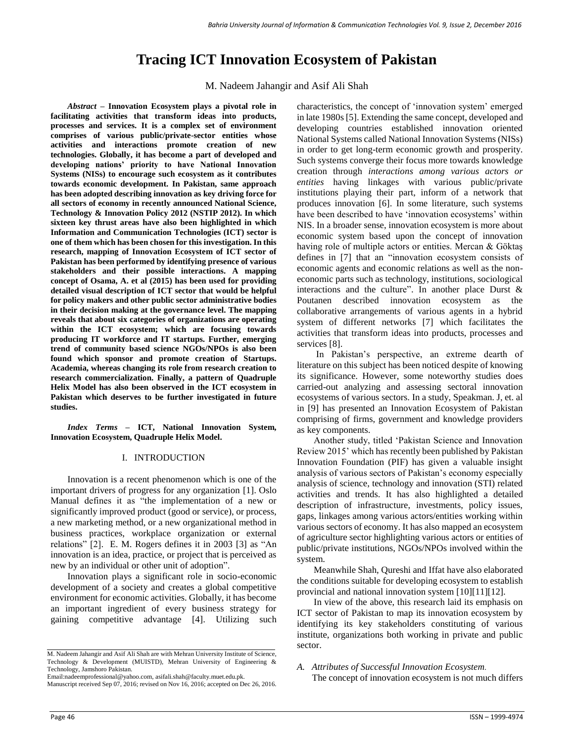# **Tracing ICT Innovation Ecosystem of Pakistan**

M. Nadeem Jahangir and Asif Ali Shah

*Abstract* **– Innovation Ecosystem plays a pivotal role in facilitating activities that transform ideas into products, processes and services. It is a complex set of environment comprises of various public/private-sector entities whose activities and interactions promote creation of new technologies. Globally, it has become a part of developed and developing nations' priority to have National Innovation Systems (NISs) to encourage such ecosystem as it contributes towards economic development. In Pakistan, same approach has been adopted describing innovation as key driving force for all sectors of economy in recently announced National Science, Technology & Innovation Policy 2012 (NSTIP 2012). In which sixteen key thrust areas have also been highlighted in which Information and Communication Technologies (ICT) sector is one of them which has been chosen for this investigation. In this research, mapping of Innovation Ecosystem of ICT sector of Pakistan has been performed by identifying presence of various stakeholders and their possible interactions. A mapping concept of Osama, A. et al (2015) has been used for providing detailed visual description of ICT sector that would be helpful for policy makers and other public sector administrative bodies in their decision making at the governance level. The mapping reveals that about six categories of organizations are operating within the ICT ecosystem; which are focusing towards producing IT workforce and IT startups. Further, emerging trend of community based science NGOs/NPOs is also been found which sponsor and promote creation of Startups. Academia, whereas changing its role from research creation to research commercialization. Finally, a pattern of Quadruple Helix Model has also been observed in the ICT ecosystem in Pakistan which deserves to be further investigated in future studies.**

*Index Terms* **– ICT, National Innovation System, Innovation Ecosystem, Quadruple Helix Model.** 

# I. INTRODUCTION

Innovation is a recent phenomenon which is one of the important drivers of progress for any organization [1]. Oslo Manual defines it as "the implementation of a new or significantly improved product (good or service), or process, a new marketing method, or a new organizational method in business practices, workplace organization or external relations" [2]. E. M. Rogers defines it in 2003 [3] as "An innovation is an idea, practice, or project that is perceived as new by an individual or other unit of adoption".

Innovation plays a significant role in socio-economic development of a society and creates a global competitive environment for economic activities. Globally, it has become an important ingredient of every business strategy for gaining competitive advantage [4]. Utilizing such

l.

characteristics, the concept of 'innovation system' emerged in late 1980s [5]. Extending the same concept, developed and developing countries established innovation oriented National Systems called National Innovation Systems (NISs) in order to get long-term economic growth and prosperity. Such systems converge their focus more towards knowledge creation through *interactions among various actors or entities* having linkages with various public/private institutions playing their part, inform of a network that produces innovation [6]. In some literature, such systems have been described to have 'innovation ecosystems' within NIS. In a broader sense, innovation ecosystem is more about economic system based upon the concept of innovation having role of multiple actors or entities. Mercan & Göktaş defines in [7] that an "innovation ecosystem consists of economic agents and economic relations as well as the noneconomic parts such as technology, institutions, sociological interactions and the culture". In another place Durst & Poutanen described innovation ecosystem as the collaborative arrangements of various agents in a hybrid system of different networks [7] which facilitates the activities that transform ideas into products, processes and services [8].

In Pakistan's perspective, an extreme dearth of literature on this subject has been noticed despite of knowing its significance. However, some noteworthy studies does carried-out analyzing and assessing sectoral innovation ecosystems of various sectors. In a study, Speakman. J, et. al in [9] has presented an Innovation Ecosystem of Pakistan comprising of firms, government and knowledge providers as key components.

Another study, titled 'Pakistan Science and Innovation Review 2015' which has recently been published by Pakistan Innovation Foundation (PIF) has given a valuable insight analysis of various sectors of Pakistan's economy especially analysis of science, technology and innovation (STI) related activities and trends. It has also highlighted a detailed description of infrastructure, investments, policy issues, gaps, linkages among various actors/entities working within various sectors of economy. It has also mapped an ecosystem of agriculture sector highlighting various actors or entities of public/private institutions, NGOs/NPOs involved within the system.

Meanwhile Shah, Qureshi and Iffat have also elaborated the conditions suitable for developing ecosystem to establish provincial and national innovation system [10][11][12].

In view of the above, this research laid its emphasis on ICT sector of Pakistan to map its innovation ecosystem by identifying its key stakeholders constituting of various institute, organizations both working in private and public sector.

*A. Attributes of Successful Innovation Ecosystem.* The concept of innovation ecosystem is not much differs

M. Nadeem Jahangir and Asif Ali Shah are with Mehran University Institute of Science, Technology & Development (MUISTD), Mehran University of Engineering & Technology, Jamshoro Pakistan.

Emai[l:nadeemprofessional@yahoo.com,](mailto:nadeemprofessional@yahoo.com) asifali.shah@faculty.muet.edu.pk. Manuscript received Sep 07, 2016; revised on Nov 16, 2016; accepted on Dec 26, 2016.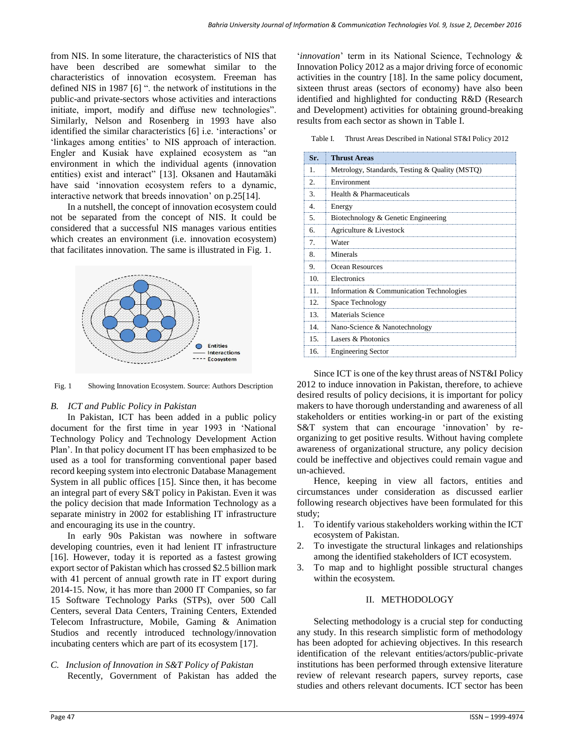from NIS. In some literature, the characteristics of NIS that have been described are somewhat similar to the characteristics of innovation ecosystem. Freeman has defined NIS in 1987 [6] ". the network of institutions in the public-and private-sectors whose activities and interactions initiate, import, modify and diffuse new technologies". Similarly, Nelson and Rosenberg in 1993 have also identified the similar characteristics [6] i.e. 'interactions' or 'linkages among entities' to NIS approach of interaction. Engler and Kusiak have explained ecosystem as "an environment in which the individual agents (innovation entities) exist and interact" [13]. Oksanen and Hautamäki have said 'innovation ecosystem refers to a dynamic, interactive network that breeds innovation' on p.25[14].

In a nutshell, the concept of innovation ecosystem could not be separated from the concept of NIS. It could be considered that a successful NIS manages various entities which creates an environment (i.e. innovation ecosystem) that facilitates innovation. The same is illustrated in Fig. 1.



Fig. 1 Showing Innovation Ecosystem. Source: Authors Description

# *B. ICT and Public Policy in Pakistan*

In Pakistan, ICT has been added in a public policy document for the first time in year 1993 in 'National Technology Policy and Technology Development Action Plan'. In that policy document IT has been emphasized to be used as a tool for transforming conventional paper based record keeping system into electronic Database Management System in all public offices [15]. Since then, it has become an integral part of every S&T policy in Pakistan. Even it was the policy decision that made Information Technology as a separate ministry in 2002 for establishing IT infrastructure and encouraging its use in the country.

In early 90s Pakistan was nowhere in software developing countries, even it had lenient IT infrastructure [16]. However, today it is reported as a fastest growing export sector of Pakistan which has crossed \$2.5 billion mark with 41 percent of annual growth rate in IT export during 2014-15. Now, it has more than 2000 IT Companies, so far 15 Software Technology Parks (STPs), over 500 Call Centers, several Data Centers, Training Centers, Extended Telecom Infrastructure, Mobile, Gaming & Animation Studios and recently introduced technology/innovation incubating centers which are part of its ecosystem [17].

*C. Inclusion of Innovation in S&T Policy of Pakistan* Recently, Government of Pakistan has added the

'*innovation*' term in its National Science, Technology & Innovation Policy 2012 as a major driving force of economic activities in the country [18]. In the same policy document, sixteen thrust areas (sectors of economy) have also been identified and highlighted for conducting R&D (Research and Development) activities for obtaining ground-breaking results from each sector as shown in Table I.

Table I. Thrust Areas Described in National ST&I Policy 2012

| Sr.            | <b>Thrust Areas</b>                            |
|----------------|------------------------------------------------|
| $\mathbf{1}$   | Metrology, Standards, Testing & Quality (MSTQ) |
| $\mathfrak{D}$ | Environment                                    |
| $\mathcal{R}$  | Health & Pharmaceuticals                       |
| 4.             | Energy                                         |
| .5.            | Biotechnology & Genetic Engineering            |
| 6.             | Agriculture & Livestock                        |
| 7 <sup>1</sup> | Water                                          |
| 8.             | Minerals                                       |
| 9.             | Ocean Resources                                |
| 10.            | Electronics                                    |
| 11.            | Information & Communication Technologies       |
| 12.            | Space Technology                               |
| 13             | Materials Science                              |
| 14             | Nano-Science & Nanotechnology                  |
| 15.            | Lasers & Photonics                             |
| 16.            | <b>Engineering Sector</b>                      |

Since ICT is one of the key thrust areas of NST&I Policy 2012 to induce innovation in Pakistan, therefore, to achieve desired results of policy decisions, it is important for policy makers to have thorough understanding and awareness of all stakeholders or entities working-in or part of the existing S&T system that can encourage 'innovation' by reorganizing to get positive results. Without having complete awareness of organizational structure, any policy decision could be ineffective and objectives could remain vague and un-achieved.

Hence, keeping in view all factors, entities and circumstances under consideration as discussed earlier following research objectives have been formulated for this study;

- 1. To identify various stakeholders working within the ICT ecosystem of Pakistan.
- 2. To investigate the structural linkages and relationships among the identified stakeholders of ICT ecosystem.
- 3. To map and to highlight possible structural changes within the ecosystem.

# II. METHODOLOGY

Selecting methodology is a crucial step for conducting any study. In this research simplistic form of methodology has been adopted for achieving objectives. In this research identification of the relevant entities/actors/public-private institutions has been performed through extensive literature review of relevant research papers, survey reports, case studies and others relevant documents. ICT sector has been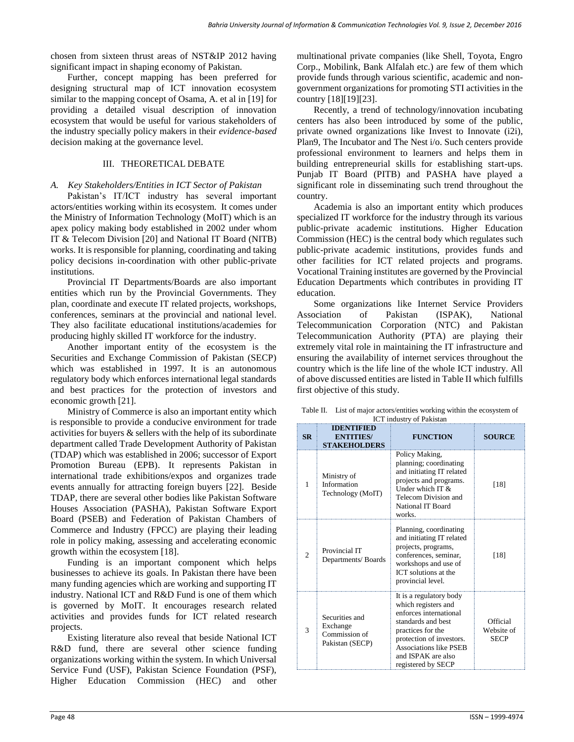chosen from sixteen thrust areas of NST&IP 2012 having significant impact in shaping economy of Pakistan.

Further, concept mapping has been preferred for designing structural map of ICT innovation ecosystem similar to the mapping concept of Osama, A. et al in [19] for providing a detailed visual description of innovation ecosystem that would be useful for various stakeholders of the industry specially policy makers in their *evidence-based*  decision making at the governance level.

# III. THEORETICAL DEBATE

# *A. Key Stakeholders/Entities in ICT Sector of Pakistan*

Pakistan's IT/ICT industry has several important actors/entities working within its ecosystem. It comes under the Ministry of Information Technology (MoIT) which is an apex policy making body established in 2002 under whom IT & Telecom Division [20] and National IT Board (NITB) works. It is responsible for planning, coordinating and taking policy decisions in-coordination with other public-private institutions.

Provincial IT Departments/Boards are also important entities which run by the Provincial Governments. They plan, coordinate and execute IT related projects, workshops, conferences, seminars at the provincial and national level. They also facilitate educational institutions/academies for producing highly skilled IT workforce for the industry.

Another important entity of the ecosystem is the Securities and Exchange Commission of Pakistan (SECP) which was established in 1997. It is an autonomous regulatory body which enforces international legal standards and best practices for the protection of investors and economic growth [21].

Ministry of Commerce is also an important entity which is responsible to provide a conducive environment for trade activities for buyers & sellers with the help of its subordinate department called Trade Development Authority of Pakistan (TDAP) which was established in 2006; successor of Export Promotion Bureau (EPB). It represents Pakistan in international trade exhibitions/expos and organizes trade events annually for attracting foreign buyers [22]. Beside TDAP, there are several other bodies like Pakistan Software Houses Association (PASHA), Pakistan Software Export Board (PSEB) and Federation of Pakistan Chambers of Commerce and Industry (FPCC) are playing their leading role in policy making, assessing and accelerating economic growth within the ecosystem [18].

Funding is an important component which helps businesses to achieve its goals. In Pakistan there have been many funding agencies which are working and supporting IT industry. National ICT and R&D Fund is one of them which is governed by MoIT. It encourages research related activities and provides funds for ICT related research projects.

Existing literature also reveal that beside National ICT R&D fund, there are several other science funding organizations working within the system. In which Universal Service Fund (USF), Pakistan Science Foundation (PSF), Higher Education Commission (HEC) and other

multinational private companies (like Shell, Toyota, Engro Corp., Mobilink, Bank Alfalah etc.) are few of them which provide funds through various scientific, academic and nongovernment organizations for promoting STI activities in the country [18][19][23].

Recently, a trend of technology/innovation incubating centers has also been introduced by some of the public, private owned organizations like Invest to Innovate (i2i), Plan9, The Incubator and The Nest i/o. Such centers provide professional environment to learners and helps them in building entrepreneurial skills for establishing start-ups. Punjab IT Board (PITB) and PASHA have played a significant role in disseminating such trend throughout the country.

Academia is also an important entity which produces specialized IT workforce for the industry through its various public-private academic institutions. Higher Education Commission (HEC) is the central body which regulates such public-private academic institutions, provides funds and other facilities for ICT related projects and programs. Vocational Training institutes are governed by the Provincial Education Departments which contributes in providing IT education.

Some organizations like Internet Service Providers Association of Pakistan (ISPAK), National Telecommunication Corporation (NTC) and Pakistan Telecommunication Authority (PTA) are playing their extremely vital role in maintaining the IT infrastructure and ensuring the availability of internet services throughout the country which is the life line of the whole ICT industry. All of above discussed entities are listed in Table II which fulfills first objective of this study.

| <b>SR</b> | IDENTIFIED<br><b>ENTITIES/</b><br><b>STAKEHOLDERS</b>          | <b>FUNCTION</b>                                                                                                                                                                                                              | <b>SOURCE</b>                         |
|-----------|----------------------------------------------------------------|------------------------------------------------------------------------------------------------------------------------------------------------------------------------------------------------------------------------------|---------------------------------------|
| 1         | Ministry of<br>Information<br>Technology (MoIT)                | Policy Making,<br>planning; coordinating<br>and initiating IT related<br>projects and programs.<br>Under which IT $\&$<br>Telecom Division and<br>National IT Board<br>works.                                                | [18]                                  |
|           | Provincial IT<br>Departments/Boards                            | Planning, coordinating<br>and initiating IT related<br>projects, programs,<br>conferences, seminar,<br>workshops and use of<br><b>ICT</b> solutions at the<br>provincial level.                                              | [18]                                  |
| 3         | Securities and<br>Exchange<br>Commission of<br>Pakistan (SECP) | It is a regulatory body<br>which registers and<br>enforces international<br>standards and best<br>practices for the<br>protection of investors.<br><b>Associations like PSEB</b><br>and ISPAK are also<br>registered by SECP | Official<br>Website of<br><b>SECP</b> |

Table II. List of major actors/entities working within the ecosystem of ICT industry of Pakistan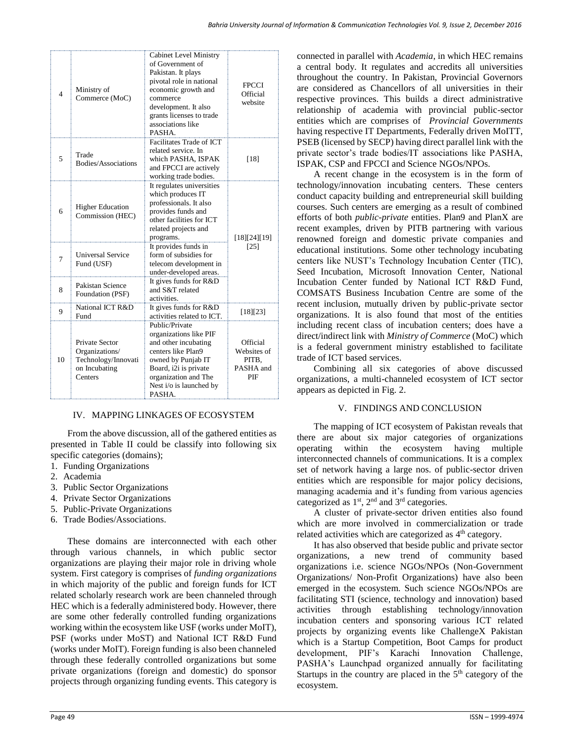| $\overline{\mathcal{L}}$ | Ministry of<br>Commerce (MoC)                                                       | <b>Cabinet Level Ministry</b><br>of Government of<br>Pakistan. It plays<br>pivotal role in national<br>economic growth and<br>commerce<br>development. It also<br>grants licenses to trade<br>associations like<br>PASHA. | <b>FPCCI</b><br>Official<br>website                  |
|--------------------------|-------------------------------------------------------------------------------------|---------------------------------------------------------------------------------------------------------------------------------------------------------------------------------------------------------------------------|------------------------------------------------------|
| 5                        | Trade<br>Bodies/Associations                                                        | Facilitates Trade of ICT<br>related service. In<br>which PASHA, ISPAK<br>and FPCCI are actively<br>working trade bodies.                                                                                                  | [18]                                                 |
| 6                        | <b>Higher Education</b><br>Commission (HEC)                                         | It regulates universities<br>which produces IT<br>professionals. It also<br>provides funds and<br>other facilities for ICT<br>related projects and<br>programs.                                                           | [18][24][19]<br>$[25]$                               |
| $\tau$                   | <b>Universal Service</b><br>Fund (USF)                                              | It provides funds in<br>form of subsidies for<br>telecom development in<br>under-developed areas.                                                                                                                         |                                                      |
| 8                        | Pakistan Science<br>Foundation (PSF)                                                | It gives funds for R&D<br>and S&T related<br>activities.                                                                                                                                                                  |                                                      |
| 9                        | National ICT R&D<br>Fund                                                            | It gives funds for R&D<br>activities related to ICT.                                                                                                                                                                      | [18][23]                                             |
| 10                       | Private Sector<br>Organizations/<br>Technology/Innovati<br>on Incubating<br>Centers | Public/Private<br>organizations like PIF<br>and other incubating<br>centers like Plan9<br>owned by Punjab IT<br>Board, i2i is private<br>organization and The<br>Nest i/o is launched by<br>PASHA.                        | Official<br>Websites of<br>PITB,<br>PASHA and<br>PIF |

# IV. MAPPING LINKAGES OF ECOSYSTEM

From the above discussion, all of the gathered entities as presented in Table II could be classify into following six specific categories (domains):

- 1. Funding Organizations
- 2. Academia
- 3. Public Sector Organizations
- 4. Private Sector Organizations
- 5. Public-Private Organizations
- 6. Trade Bodies/Associations.

These domains are interconnected with each other through various channels, in which public sector organizations are playing their major role in driving whole system. First category is comprises of *funding organizations* in which majority of the public and foreign funds for ICT related scholarly research work are been channeled through HEC which is a federally administered body. However, there are some other federally controlled funding organizations working within the ecosystem like USF (works under MoIT), PSF (works under MoST) and National ICT R&D Fund (works under MoIT). Foreign funding is also been channeled through these federally controlled organizations but some private organizations (foreign and domestic) do sponsor projects through organizing funding events. This category is connected in parallel with *Academia*, in which HEC remains a central body. It regulates and accredits all universities throughout the country. In Pakistan, Provincial Governors are considered as Chancellors of all universities in their respective provinces. This builds a direct administrative relationship of academia with provincial public-sector entities which are comprises of *Provincial Governments* having respective IT Departments, Federally driven MoITT, PSEB (licensed by SECP) having direct parallel link with the private sector's trade bodies/IT associations like PASHA, ISPAK, CSP and FPCCI and Science NGOs/NPOs.

A recent change in the ecosystem is in the form of technology/innovation incubating centers. These centers conduct capacity building and entrepreneurial skill building courses. Such centers are emerging as a result of combined efforts of both *public-private* entities. Plan9 and PlanX are recent examples, driven by PITB partnering with various renowned foreign and domestic private companies and educational institutions. Some other technology incubating centers like NUST's Technology Incubation Center (TIC), Seed Incubation, Microsoft Innovation Center, National Incubation Center funded by National ICT R&D Fund, COMSATS Business Incubation Centre are some of the recent inclusion, mutually driven by public-private sector organizations. It is also found that most of the entities including recent class of incubation centers; does have a direct/indirect link with *Ministry of Commerce* (MoC) which is a federal government ministry established to facilitate trade of ICT based services.

Combining all six categories of above discussed organizations, a multi-channeled ecosystem of ICT sector appears as depicted in Fig. 2.

#### V. FINDINGS AND CONCLUSION

The mapping of ICT ecosystem of Pakistan reveals that there are about six major categories of organizations operating within the ecosystem having multiple interconnected channels of communications. It is a complex set of network having a large nos. of public-sector driven entities which are responsible for major policy decisions, managing academia and it's funding from various agencies categorized as  $1<sup>st</sup>$ ,  $2<sup>nd</sup>$  and  $3<sup>rd</sup>$  categories.

A cluster of private-sector driven entities also found which are more involved in commercialization or trade related activities which are categorized as 4<sup>th</sup> category.

It has also observed that beside public and private sector organizations, a new trend of community based organizations i.e. science NGOs/NPOs (Non-Government Organizations/ Non-Profit Organizations) have also been emerged in the ecosystem. Such science NGOs/NPOs are facilitating STI (science, technology and innovation) based activities through establishing technology/innovation incubation centers and sponsoring various ICT related projects by organizing events like ChallengeX Pakistan which is a Startup Competition, Boot Camps for product development, PIF's Karachi Innovation Challenge, PASHA's Launchpad organized annually for facilitating Startups in the country are placed in the  $5<sup>th</sup>$  category of the ecosystem.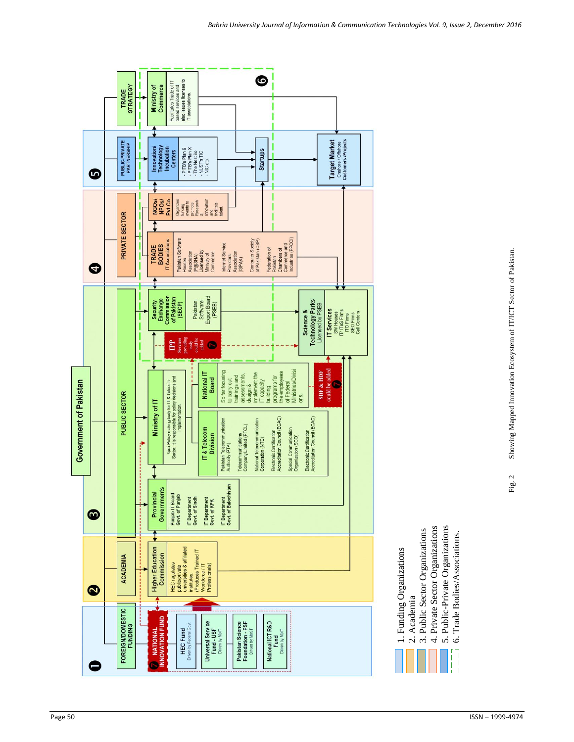

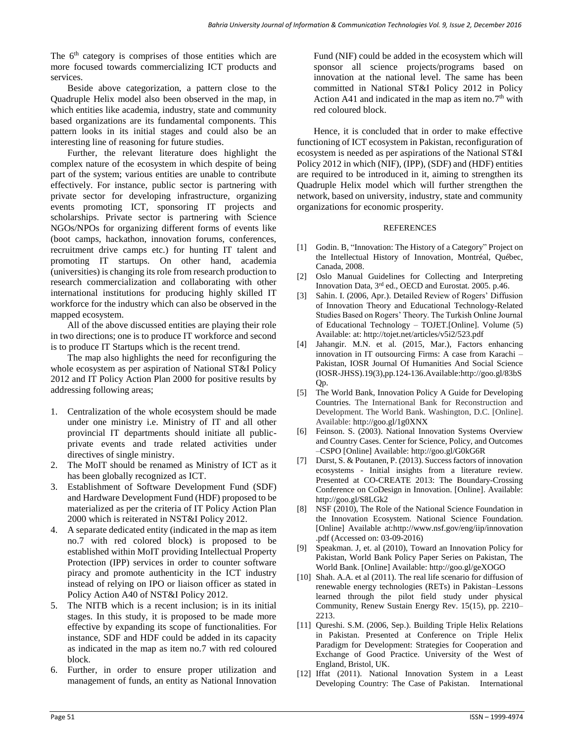The 6<sup>th</sup> category is comprises of those entities which are more focused towards commercializing ICT products and services.

Beside above categorization, a pattern close to the Quadruple Helix model also been observed in the map, in which entities like academia, industry, state and community based organizations are its fundamental components. This pattern looks in its initial stages and could also be an interesting line of reasoning for future studies.

Further, the relevant literature does highlight the complex nature of the ecosystem in which despite of being part of the system; various entities are unable to contribute effectively. For instance, public sector is partnering with private sector for developing infrastructure, organizing events promoting ICT, sponsoring IT projects and scholarships. Private sector is partnering with Science NGOs/NPOs for organizing different forms of events like (boot camps, hackathon, innovation forums, conferences, recruitment drive camps etc.) for hunting IT talent and promoting IT startups. On other hand, academia (universities) is changing its role from research production to research commercialization and collaborating with other international institutions for producing highly skilled IT workforce for the industry which can also be observed in the mapped ecosystem.

 All of the above discussed entities are playing their role in two directions; one is to produce IT workforce and second is to produce IT Startups which is the recent trend.

The map also highlights the need for reconfiguring the whole ecosystem as per aspiration of National ST&I Policy 2012 and IT Policy Action Plan 2000 for positive results by addressing following areas;

- 1. Centralization of the whole ecosystem should be made under one ministry i.e. Ministry of IT and all other provincial IT departments should initiate all publicprivate events and trade related activities under directives of single ministry.
- 2. The MoIT should be renamed as Ministry of ICT as it has been globally recognized as ICT.
- 3. Establishment of Software Development Fund (SDF) and Hardware Development Fund (HDF) proposed to be materialized as per the criteria of IT Policy Action Plan 2000 which is reiterated in NST&I Policy 2012.
- 4. A separate dedicated entity (indicated in the map as item no.7 with red colored block) is proposed to be established within MoIT providing Intellectual Property Protection (IPP) services in order to counter software piracy and promote authenticity in the ICT industry instead of relying on IPO or liaison officer as stated in Policy Action A40 of NST&I Policy 2012.
- 5. The NITB which is a recent inclusion; is in its initial stages. In this study, it is proposed to be made more effective by expanding its scope of functionalities. For instance, SDF and HDF could be added in its capacity as indicated in the map as item no.7 with red coloured block.
- 6. Further, in order to ensure proper utilization and management of funds, an entity as National Innovation

Fund (NIF) could be added in the ecosystem which will sponsor all science projects/programs based on innovation at the national level. The same has been committed in National ST&I Policy 2012 in Policy Action A41 and indicated in the map as item no.7<sup>th</sup> with red coloured block.

Hence, it is concluded that in order to make effective functioning of ICT ecosystem in Pakistan, reconfiguration of ecosystem is needed as per aspirations of the National ST&I Policy 2012 in which (NIF), (IPP), (SDF) and (HDF) entities are required to be introduced in it, aiming to strengthen its Quadruple Helix model which will further strengthen the network, based on university, industry, state and community organizations for economic prosperity.

### **REFERENCES**

- [1] Godin. B, "Innovation: The History of a Category" Project on the Intellectual History of Innovation, Montréal, Québec, Canada, 2008.
- [2] Oslo Manual Guidelines for Collecting and Interpreting Innovation Data, 3rd ed., OECD and Eurostat. 2005. p.46.
- [3] Sahin. I. (2006, Apr.). Detailed Review of Rogers' Diffusion of Innovation Theory and Educational Technology-Related Studies Based on Rogers' Theory. The Turkish Online Journal of Educational Technology – TOJET.[Online]. Volume (5) Available: at: http://tojet.net/articles/v5i2/523.pdf
- [4] Jahangir. M.N. et al. (2015, Mar.), Factors enhancing innovation in IT outsourcing Firms: A case from Karachi – Pakistan, IOSR Journal Of Humanities And Social Science (IOSR-JHSS).19(3),pp.124-136.Available:http://goo.gl/83bS Qp.
- [5] The World Bank, Innovation Policy A Guide for Developing Countries. The International Bank for Reconstruction and Development. The World Bank. Washington, D.C. [Online]. Available: http://goo.gl/1g0XNX
- [6] Feinson. S. (2003). National Innovation Systems Overview and Country Cases. Center for Science, Policy, and Outcomes –CSPO [Online] Available: http://goo.gl/G0kG6R
- [7] Durst, S. & Poutanen, P. (2013). Success factors of innovation ecosystems - Initial insights from a literature review. Presented at CO-CREATE 2013: The Boundary-Crossing Conference on CoDesign in Innovation. [Online]. Available: http://goo.gl/S8LGk2
- [8] NSF (2010), The Role of the National Science Foundation in the Innovation Ecosystem. National Science Foundation. [Online] Available at:http://www.nsf.gov/eng/iip/innovation .pdf (Accessed on: 03-09-2016)
- [9] Speakman. J, et. al (2010), Toward an Innovation Policy for Pakistan, World Bank Policy Paper Series on Pakistan, The World Bank. [Online] Available: http://goo.gl/geXOGO
- [10] Shah. A.A. et al (2011). The real life scenario for diffusion of renewable energy technologies (RETs) in Pakistan–Lessons learned through the pilot field study under physical Community, Renew Sustain Energy Rev. 15(15), pp. 2210– 2213.
- [11] Qureshi. S.M. (2006, Sep.). Building Triple Helix Relations in Pakistan. Presented at Conference on Triple Helix Paradigm for Development: Strategies for Cooperation and Exchange of Good Practice. University of the West of England, Bristol, UK.
- [12] Iffat (2011). National Innovation System in a Least Developing Country: The Case of Pakistan. International